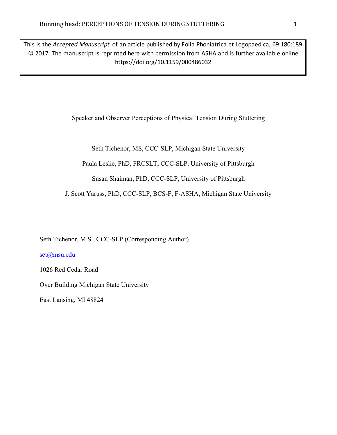This is the *Accepted Manuscript* of an article published by Folia Phoniatrica et Logopaedica, 69:180:189 © 2017. The manuscript is reprinted here with permission from ASHA and is further available online https://doi.org/10.1159/000486032

Speaker and Observer Perceptions of Physical Tension During Stuttering

Seth Tichenor, MS, CCC-SLP, Michigan State University

Paula Leslie, PhD, FRCSLT, CCC-SLP, University of Pittsburgh

Susan Shaiman, PhD, CCC-SLP, University of Pittsburgh

J. Scott Yaruss, PhD, CCC-SLP, BCS-F, F-ASHA, Michigan State University

Seth Tichenor, M.S., CCC-SLP (Corresponding Author)

set@msu.edu

1026 Red Cedar Road

Oyer Building Michigan State University

East Lansing, MI 48824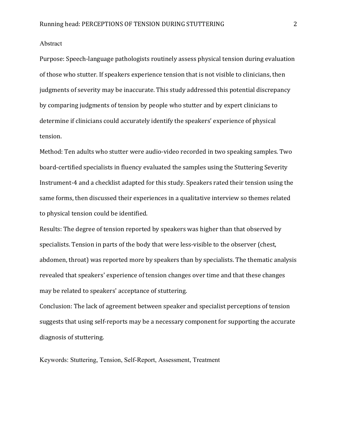# Abstract

Purpose: Speech-language pathologists routinely assess physical tension during evaluation of those who stutter. If speakers experience tension that is not visible to clinicians, then judgments of severity may be inaccurate. This study addressed this potential discrepancy by comparing judgments of tension by people who stutter and by expert clinicians to determine if clinicians could accurately identify the speakers' experience of physical tension.

Method: Ten adults who stutter were audio-video recorded in two speaking samples. Two board-certified specialists in fluency evaluated the samples using the Stuttering Severity Instrument-4 and a checklist adapted for this study. Speakers rated their tension using the same forms, then discussed their experiences in a qualitative interview so themes related to physical tension could be identified.

Results: The degree of tension reported by speakers was higher than that observed by specialists. Tension in parts of the body that were less-visible to the observer (chest, abdomen, throat) was reported more by speakers than by specialists. The thematic analysis revealed that speakers' experience of tension changes over time and that these changes may be related to speakers' acceptance of stuttering.

Conclusion: The lack of agreement between speaker and specialist perceptions of tension suggests that using self-reports may be a necessary component for supporting the accurate diagnosis of stuttering.

Keywords: Stuttering, Tension, Self-Report, Assessment, Treatment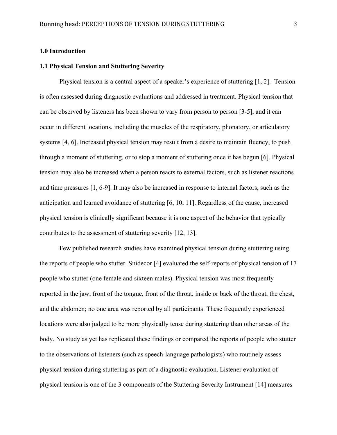#### **1.0 Introduction**

# **1.1 Physical Tension and Stuttering Severity**

Physical tension is a central aspect of a speaker's experience of stuttering [1, 2]. Tension is often assessed during diagnostic evaluations and addressed in treatment. Physical tension that can be observed by listeners has been shown to vary from person to person [3-5], and it can occur in different locations, including the muscles of the respiratory, phonatory, or articulatory systems [4, 6]. Increased physical tension may result from a desire to maintain fluency, to push through a moment of stuttering, or to stop a moment of stuttering once it has begun [6]. Physical tension may also be increased when a person reacts to external factors, such as listener reactions and time pressures [1, 6-9]. It may also be increased in response to internal factors, such as the anticipation and learned avoidance of stuttering [6, 10, 11]. Regardless of the cause, increased physical tension is clinically significant because it is one aspect of the behavior that typically contributes to the assessment of stuttering severity [12, 13].

Few published research studies have examined physical tension during stuttering using the reports of people who stutter. Snidecor [4] evaluated the self-reports of physical tension of 17 people who stutter (one female and sixteen males). Physical tension was most frequently reported in the jaw, front of the tongue, front of the throat, inside or back of the throat, the chest, and the abdomen; no one area was reported by all participants. These frequently experienced locations were also judged to be more physically tense during stuttering than other areas of the body. No study as yet has replicated these findings or compared the reports of people who stutter to the observations of listeners (such as speech-language pathologists) who routinely assess physical tension during stuttering as part of a diagnostic evaluation. Listener evaluation of physical tension is one of the 3 components of the Stuttering Severity Instrument [14] measures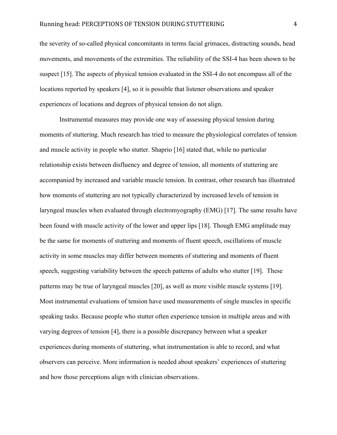the severity of so-called physical concomitants in terms facial grimaces, distracting sounds, head movements, and movements of the extremities. The reliability of the SSI-4 has been shown to be suspect [15]. The aspects of physical tension evaluated in the SSI-4 do not encompass all of the locations reported by speakers [4], so it is possible that listener observations and speaker experiences of locations and degrees of physical tension do not align.

Instrumental measures may provide one way of assessing physical tension during moments of stuttering. Much research has tried to measure the physiological correlates of tension and muscle activity in people who stutter. Shaprio [16] stated that, while no particular relationship exists between disfluency and degree of tension, all moments of stuttering are accompanied by increased and variable muscle tension. In contrast, other research has illustrated how moments of stuttering are not typically characterized by increased levels of tension in laryngeal muscles when evaluated through electromyography (EMG) [17]. The same results have been found with muscle activity of the lower and upper lips [18]. Though EMG amplitude may be the same for moments of stuttering and moments of fluent speech, oscillations of muscle activity in some muscles may differ between moments of stuttering and moments of fluent speech, suggesting variability between the speech patterns of adults who stutter [19]. These patterns may be true of laryngeal muscles [20], as well as more visible muscle systems [19]. Most instrumental evaluations of tension have used measurements of single muscles in specific speaking tasks. Because people who stutter often experience tension in multiple areas and with varying degrees of tension [4], there is a possible discrepancy between what a speaker experiences during moments of stuttering, what instrumentation is able to record, and what observers can perceive. More information is needed about speakers' experiences of stuttering and how those perceptions align with clinician observations.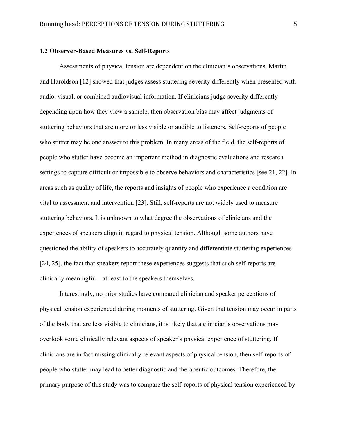#### **1.2 Observer-Based Measures vs. Self-Reports**

Assessments of physical tension are dependent on the clinician's observations. Martin and Haroldson [12] showed that judges assess stuttering severity differently when presented with audio, visual, or combined audiovisual information. If clinicians judge severity differently depending upon how they view a sample, then observation bias may affect judgments of stuttering behaviors that are more or less visible or audible to listeners. Self-reports of people who stutter may be one answer to this problem. In many areas of the field, the self-reports of people who stutter have become an important method in diagnostic evaluations and research settings to capture difficult or impossible to observe behaviors and characteristics [see 21, 22]. In areas such as quality of life, the reports and insights of people who experience a condition are vital to assessment and intervention [23]. Still, self-reports are not widely used to measure stuttering behaviors. It is unknown to what degree the observations of clinicians and the experiences of speakers align in regard to physical tension. Although some authors have questioned the ability of speakers to accurately quantify and differentiate stuttering experiences [24, 25], the fact that speakers report these experiences suggests that such self-reports are clinically meaningful—at least to the speakers themselves.

Interestingly, no prior studies have compared clinician and speaker perceptions of physical tension experienced during moments of stuttering. Given that tension may occur in parts of the body that are less visible to clinicians, it is likely that a clinician's observations may overlook some clinically relevant aspects of speaker's physical experience of stuttering. If clinicians are in fact missing clinically relevant aspects of physical tension, then self-reports of people who stutter may lead to better diagnostic and therapeutic outcomes. Therefore, the primary purpose of this study was to compare the self-reports of physical tension experienced by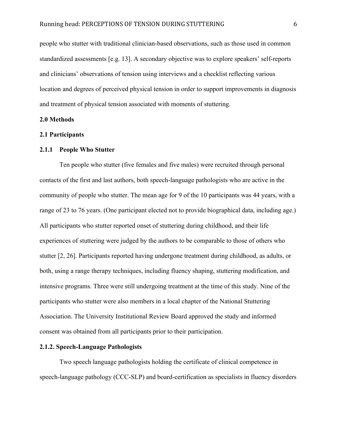people who stutter with traditional clinician-based observations, such as those used in common standardized assessments [e.g. 13]. A secondary objective was to explore speakers' self-reports and clinicians' observations of tension using interviews and a checklist reflecting various location and degrees of perceived physical tension in order to support improvements in diagnosis and treatment of physical tension associated with moments of stuttering.

#### **2.0 Methods**

## **2.1 Participants**

# **2.1.1 People Who Stutter**

Ten people who stutter (five females and five males) were recruited through personal contacts of the first and last authors, both speech-language pathologists who are active in the community of people who stutter. The mean age for 9 of the 10 participants was 44 years, with a range of 23 to 76 years. (One participant elected not to provide biographical data, including age.) All participants who stutter reported onset of stuttering during childhood, and their life experiences of stuttering were judged by the authors to be comparable to those of others who stutter [2, 26]. Participants reported having undergone treatment during childhood, as adults, or both, using a range therapy techniques, including fluency shaping, stuttering modification, and intensive programs. Three were still undergoing treatment at the time of this study. Nine of the participants who stutter were also members in a local chapter of the National Stuttering Association. The University Institutional Review Board approved the study and informed consent was obtained from all participants prior to their participation.

## **2.1.2. Speech-Language Pathologists**

Two speech language pathologists holding the certificate of clinical competence in speech-language pathology (CCC-SLP) and board-certification as specialists in fluency disorders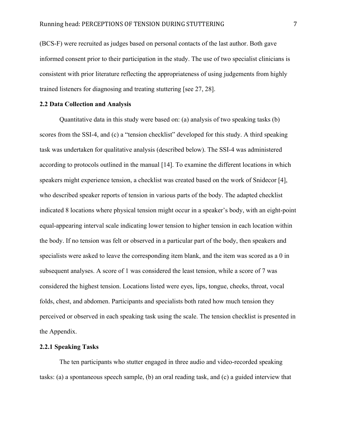(BCS-F) were recruited as judges based on personal contacts of the last author. Both gave informed consent prior to their participation in the study. The use of two specialist clinicians is consistent with prior literature reflecting the appropriateness of using judgements from highly trained listeners for diagnosing and treating stuttering [see 27, 28].

## **2.2 Data Collection and Analysis**

Quantitative data in this study were based on: (a) analysis of two speaking tasks (b) scores from the SSI-4, and (c) a "tension checklist" developed for this study. A third speaking task was undertaken for qualitative analysis (described below). The SSI-4 was administered according to protocols outlined in the manual [14]. To examine the different locations in which speakers might experience tension, a checklist was created based on the work of Snidecor [4], who described speaker reports of tension in various parts of the body. The adapted checklist indicated 8 locations where physical tension might occur in a speaker's body, with an eight-point equal-appearing interval scale indicating lower tension to higher tension in each location within the body. If no tension was felt or observed in a particular part of the body, then speakers and specialists were asked to leave the corresponding item blank, and the item was scored as a 0 in subsequent analyses. A score of 1 was considered the least tension, while a score of 7 was considered the highest tension. Locations listed were eyes, lips, tongue, cheeks, throat, vocal folds, chest, and abdomen. Participants and specialists both rated how much tension they perceived or observed in each speaking task using the scale. The tension checklist is presented in the Appendix.

# **2.2.1 Speaking Tasks**

The ten participants who stutter engaged in three audio and video-recorded speaking tasks: (a) a spontaneous speech sample, (b) an oral reading task, and (c) a guided interview that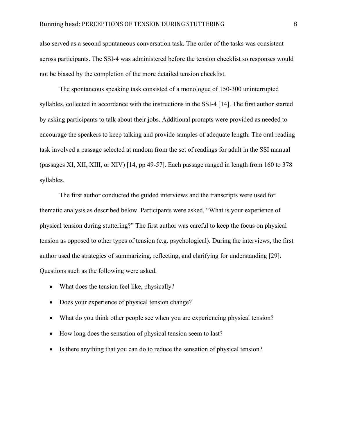also served as a second spontaneous conversation task. The order of the tasks was consistent across participants. The SSI-4 was administered before the tension checklist so responses would not be biased by the completion of the more detailed tension checklist.

The spontaneous speaking task consisted of a monologue of 150-300 uninterrupted syllables, collected in accordance with the instructions in the SSI-4 [14]. The first author started by asking participants to talk about their jobs. Additional prompts were provided as needed to encourage the speakers to keep talking and provide samples of adequate length. The oral reading task involved a passage selected at random from the set of readings for adult in the SSI manual (passages XI, XII, XIII, or XIV) [14, pp 49-57]. Each passage ranged in length from 160 to 378 syllables.

The first author conducted the guided interviews and the transcripts were used for thematic analysis as described below. Participants were asked, "What is your experience of physical tension during stuttering?" The first author was careful to keep the focus on physical tension as opposed to other types of tension (e.g. psychological). During the interviews, the first author used the strategies of summarizing, reflecting, and clarifying for understanding [29]. Questions such as the following were asked.

- What does the tension feel like, physically?
- Does your experience of physical tension change?
- What do you think other people see when you are experiencing physical tension?
- How long does the sensation of physical tension seem to last?
- Is there anything that you can do to reduce the sensation of physical tension?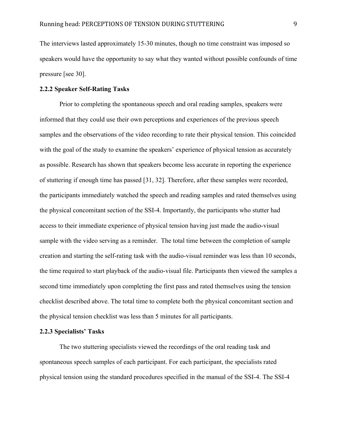The interviews lasted approximately 15-30 minutes, though no time constraint was imposed so speakers would have the opportunity to say what they wanted without possible confounds of time pressure [see 30].

## **2.2.2 Speaker Self-Rating Tasks**

Prior to completing the spontaneous speech and oral reading samples, speakers were informed that they could use their own perceptions and experiences of the previous speech samples and the observations of the video recording to rate their physical tension. This coincided with the goal of the study to examine the speakers' experience of physical tension as accurately as possible. Research has shown that speakers become less accurate in reporting the experience of stuttering if enough time has passed [31, 32]. Therefore, after these samples were recorded, the participants immediately watched the speech and reading samples and rated themselves using the physical concomitant section of the SSI-4. Importantly, the participants who stutter had access to their immediate experience of physical tension having just made the audio-visual sample with the video serving as a reminder. The total time between the completion of sample creation and starting the self-rating task with the audio-visual reminder was less than 10 seconds, the time required to start playback of the audio-visual file. Participants then viewed the samples a second time immediately upon completing the first pass and rated themselves using the tension checklist described above. The total time to complete both the physical concomitant section and the physical tension checklist was less than 5 minutes for all participants.

#### **2.2.3 Specialists' Tasks**

The two stuttering specialists viewed the recordings of the oral reading task and spontaneous speech samples of each participant. For each participant, the specialists rated physical tension using the standard procedures specified in the manual of the SSI-4. The SSI-4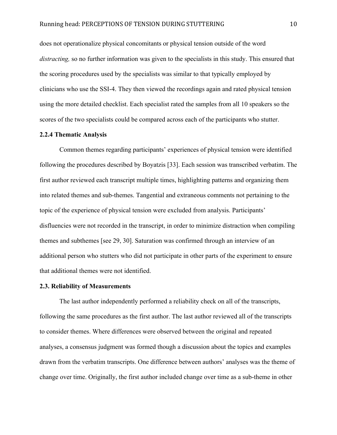does not operationalize physical concomitants or physical tension outside of the word *distracting,* so no further information was given to the specialists in this study. This ensured that the scoring procedures used by the specialists was similar to that typically employed by clinicians who use the SSI-4. They then viewed the recordings again and rated physical tension using the more detailed checklist. Each specialist rated the samples from all 10 speakers so the scores of the two specialists could be compared across each of the participants who stutter.

#### **2.2.4 Thematic Analysis**

Common themes regarding participants' experiences of physical tension were identified following the procedures described by Boyatzis [33]. Each session was transcribed verbatim. The first author reviewed each transcript multiple times, highlighting patterns and organizing them into related themes and sub-themes. Tangential and extraneous comments not pertaining to the topic of the experience of physical tension were excluded from analysis. Participants' disfluencies were not recorded in the transcript, in order to minimize distraction when compiling themes and subthemes [see 29, 30]. Saturation was confirmed through an interview of an additional person who stutters who did not participate in other parts of the experiment to ensure that additional themes were not identified.

## **2.3. Reliability of Measurements**

The last author independently performed a reliability check on all of the transcripts, following the same procedures as the first author. The last author reviewed all of the transcripts to consider themes. Where differences were observed between the original and repeated analyses, a consensus judgment was formed though a discussion about the topics and examples drawn from the verbatim transcripts. One difference between authors' analyses was the theme of change over time. Originally, the first author included change over time as a sub-theme in other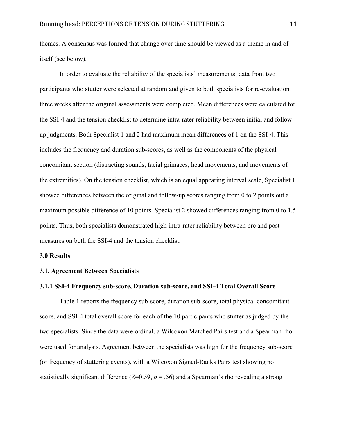themes. A consensus was formed that change over time should be viewed as a theme in and of itself (see below).

In order to evaluate the reliability of the specialists' measurements, data from two participants who stutter were selected at random and given to both specialists for re-evaluation three weeks after the original assessments were completed. Mean differences were calculated for the SSI-4 and the tension checklist to determine intra-rater reliability between initial and followup judgments. Both Specialist 1 and 2 had maximum mean differences of 1 on the SSI-4. This includes the frequency and duration sub-scores, as well as the components of the physical concomitant section (distracting sounds, facial grimaces, head movements, and movements of the extremities). On the tension checklist, which is an equal appearing interval scale, Specialist 1 showed differences between the original and follow-up scores ranging from 0 to 2 points out a maximum possible difference of 10 points. Specialist 2 showed differences ranging from 0 to 1.5 points. Thus, both specialists demonstrated high intra-rater reliability between pre and post measures on both the SSI-4 and the tension checklist.

#### **3.0 Results**

#### **3.1. Agreement Between Specialists**

## **3.1.1 SSI-4 Frequency sub-score, Duration sub-score, and SSI-4 Total Overall Score**

Table 1 reports the frequency sub-score, duration sub-score, total physical concomitant score, and SSI-4 total overall score for each of the 10 participants who stutter as judged by the two specialists. Since the data were ordinal, a Wilcoxon Matched Pairs test and a Spearman rho were used for analysis. Agreement between the specialists was high for the frequency sub-score (or frequency of stuttering events), with a Wilcoxon Signed-Ranks Pairs test showing no statistically significant difference  $(Z=0.59, p=.56)$  and a Spearman's rho revealing a strong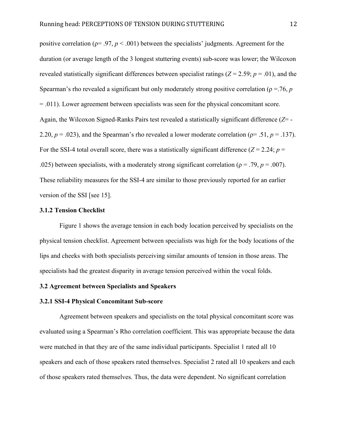positive correlation ( $p = .97$ ,  $p < .001$ ) between the specialists' judgments. Agreement for the duration (or average length of the 3 longest stuttering events) sub-score was lower; the Wilcoxon revealed statistically significant differences between specialist ratings ( $Z = 2.59$ ;  $p = .01$ ), and the Spearman's rho revealed a significant but only moderately strong positive correlation ( $\rho = 76$ , *p* = .011). Lower agreement between specialists was seen for the physical concomitant score. Again, the Wilcoxon Signed-Ranks Pairs test revealed a statistically significant difference (*Z*= - 2.20,  $p = .023$ ), and the Spearman's rho revealed a lower moderate correlation ( $p = .51$ ,  $p = .137$ ). For the SSI-4 total overall score, there was a statistically significant difference  $(Z = 2.24; p =$ .025) between specialists, with a moderately strong significant correlation ( $\rho = .79$ ,  $p = .007$ ). These reliability measures for the SSI-4 are similar to those previously reported for an earlier version of the SSI [see 15].

#### **3.1.2 Tension Checklist**

Figure 1 shows the average tension in each body location perceived by specialists on the physical tension checklist. Agreement between specialists was high for the body locations of the lips and cheeks with both specialists perceiving similar amounts of tension in those areas. The specialists had the greatest disparity in average tension perceived within the vocal folds.

# **3.2 Agreement between Specialists and Speakers**

## **3.2.1 SSI-4 Physical Concomitant Sub-score**

Agreement between speakers and specialists on the total physical concomitant score was evaluated using a Spearman's Rho correlation coefficient. This was appropriate because the data were matched in that they are of the same individual participants. Specialist 1 rated all 10 speakers and each of those speakers rated themselves. Specialist 2 rated all 10 speakers and each of those speakers rated themselves. Thus, the data were dependent. No significant correlation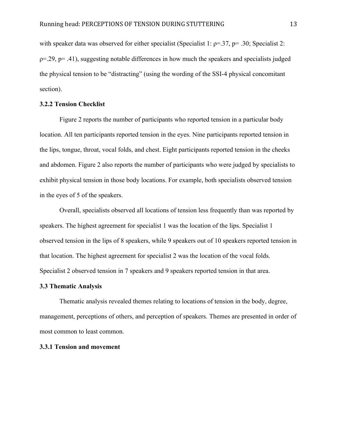with speaker data was observed for either specialist (Specialist 1:  $\rho = 0.37$ ,  $p = 0.30$ ; Specialist 2:  $p=0.29$ ,  $p=.41$ ), suggesting notable differences in how much the speakers and specialists judged the physical tension to be "distracting" (using the wording of the SSI-4 physical concomitant section).

## **3.2.2 Tension Checklist**

Figure 2 reports the number of participants who reported tension in a particular body location. All ten participants reported tension in the eyes. Nine participants reported tension in the lips, tongue, throat, vocal folds, and chest. Eight participants reported tension in the cheeks and abdomen. Figure 2 also reports the number of participants who were judged by specialists to exhibit physical tension in those body locations. For example, both specialists observed tension in the eyes of 5 of the speakers.

Overall, specialists observed all locations of tension less frequently than was reported by speakers. The highest agreement for specialist 1 was the location of the lips. Specialist 1 observed tension in the lips of 8 speakers, while 9 speakers out of 10 speakers reported tension in that location. The highest agreement for specialist 2 was the location of the vocal folds. Specialist 2 observed tension in 7 speakers and 9 speakers reported tension in that area.

#### **3.3 Thematic Analysis**

Thematic analysis revealed themes relating to locations of tension in the body, degree, management, perceptions of others, and perception of speakers. Themes are presented in order of most common to least common.

# **3.3.1 Tension and movement**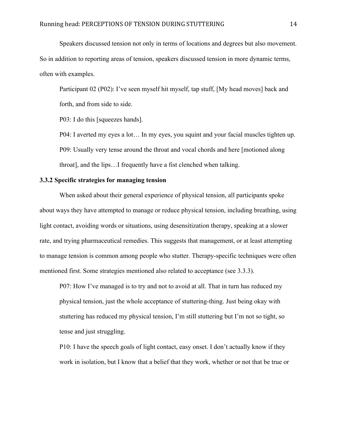Speakers discussed tension not only in terms of locations and degrees but also movement. So in addition to reporting areas of tension, speakers discussed tension in more dynamic terms, often with examples.

Participant 02 (P02): I've seen myself hit myself, tap stuff, [My head moves] back and forth, and from side to side.

P03: I do this [squeezes hands].

P04: I averted my eyes a lot… In my eyes, you squint and your facial muscles tighten up. P09: Usually very tense around the throat and vocal chords and here [motioned along throat], and the lips…I frequently have a fist clenched when talking.

# **3.3.2 Specific strategies for managing tension**

When asked about their general experience of physical tension, all participants spoke about ways they have attempted to manage or reduce physical tension, including breathing, using light contact, avoiding words or situations, using desensitization therapy, speaking at a slower rate, and trying pharmaceutical remedies. This suggests that management, or at least attempting to manage tension is common among people who stutter. Therapy-specific techniques were often mentioned first. Some strategies mentioned also related to acceptance (see 3.3.3).

P07: How I've managed is to try and not to avoid at all. That in turn has reduced my physical tension, just the whole acceptance of stuttering-thing. Just being okay with stuttering has reduced my physical tension, I'm still stuttering but I'm not so tight, so tense and just struggling.

P10: I have the speech goals of light contact, easy onset. I don't actually know if they work in isolation, but I know that a belief that they work, whether or not that be true or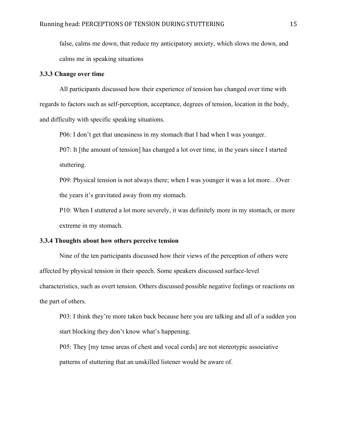false, calms me down, that reduce my anticipatory anxiety, which slows me down, and calms me in speaking situations

#### **3.3.3 Change over time**

All participants discussed how their experience of tension has changed over time with regards to factors such as self-perception, acceptance, degrees of tension, location in the body, and difficulty with specific speaking situations.

P06: I don't get that uneasiness in my stomach that I had when I was younger.

P07: It [the amount of tension] has changed a lot over time, in the years since I started stuttering.

P09: Physical tension is not always there; when I was younger it was a lot more…Over the years it's gravitated away from my stomach.

P10: When I stuttered a lot more severely, it was definitely more in my stomach, or more extreme in my stomach.

## **3.3.4 Thoughts about how others perceive tension**

Nine of the ten participants discussed how their views of the perception of others were affected by physical tension in their speech. Some speakers discussed surface-level characteristics, such as overt tension. Others discussed possible negative feelings or reactions on the part of others.

P03: I think they're more taken back because here you are talking and all of a sudden you start blocking they don't know what's happening.

P05: They [my tense areas of chest and vocal cords] are not stereotypic associative patterns of stuttering that an unskilled listener would be aware of.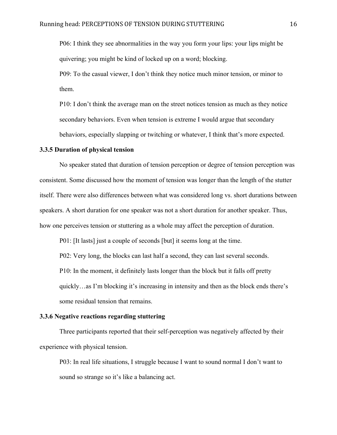P06: I think they see abnormalities in the way you form your lips: your lips might be quivering; you might be kind of locked up on a word; blocking.

P09: To the casual viewer, I don't think they notice much minor tension, or minor to them.

P10: I don't think the average man on the street notices tension as much as they notice secondary behaviors. Even when tension is extreme I would argue that secondary behaviors, especially slapping or twitching or whatever, I think that's more expected.

## **3.3.5 Duration of physical tension**

No speaker stated that duration of tension perception or degree of tension perception was consistent. Some discussed how the moment of tension was longer than the length of the stutter itself. There were also differences between what was considered long vs. short durations between speakers. A short duration for one speaker was not a short duration for another speaker. Thus, how one perceives tension or stuttering as a whole may affect the perception of duration.

P01: [It lasts] just a couple of seconds [but] it seems long at the time.

P02: Very long, the blocks can last half a second, they can last several seconds.

P10: In the moment, it definitely lasts longer than the block but it falls off pretty

quickly…as I'm blocking it's increasing in intensity and then as the block ends there's some residual tension that remains.

#### **3.3.6 Negative reactions regarding stuttering**

Three participants reported that their self-perception was negatively affected by their experience with physical tension.

P03: In real life situations, I struggle because I want to sound normal I don't want to sound so strange so it's like a balancing act.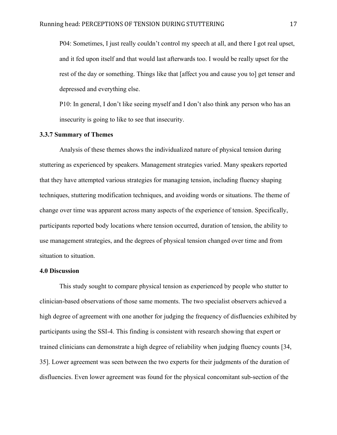P04: Sometimes, I just really couldn't control my speech at all, and there I got real upset, and it fed upon itself and that would last afterwards too. I would be really upset for the rest of the day or something. Things like that [affect you and cause you to] get tenser and depressed and everything else.

P10: In general, I don't like seeing myself and I don't also think any person who has an insecurity is going to like to see that insecurity.

# **3.3.7 Summary of Themes**

Analysis of these themes shows the individualized nature of physical tension during stuttering as experienced by speakers. Management strategies varied. Many speakers reported that they have attempted various strategies for managing tension, including fluency shaping techniques, stuttering modification techniques, and avoiding words or situations. The theme of change over time was apparent across many aspects of the experience of tension. Specifically, participants reported body locations where tension occurred, duration of tension, the ability to use management strategies, and the degrees of physical tension changed over time and from situation to situation.

## **4.0 Discussion**

This study sought to compare physical tension as experienced by people who stutter to clinician-based observations of those same moments. The two specialist observers achieved a high degree of agreement with one another for judging the frequency of disfluencies exhibited by participants using the SSI-4. This finding is consistent with research showing that expert or trained clinicians can demonstrate a high degree of reliability when judging fluency counts [34, 35]. Lower agreement was seen between the two experts for their judgments of the duration of disfluencies. Even lower agreement was found for the physical concomitant sub-section of the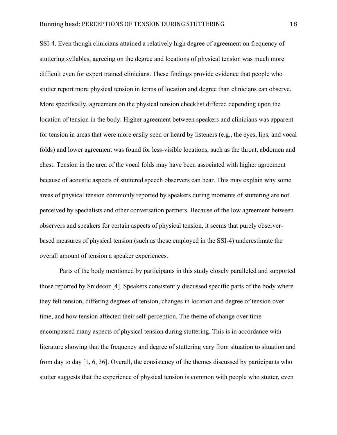SSI-4. Even though clinicians attained a relatively high degree of agreement on frequency of stuttering syllables, agreeing on the degree and locations of physical tension was much more difficult even for expert trained clinicians. These findings provide evidence that people who stutter report more physical tension in terms of location and degree than clinicians can observe. More specifically, agreement on the physical tension checklist differed depending upon the location of tension in the body. Higher agreement between speakers and clinicians was apparent for tension in areas that were more easily seen or heard by listeners (e.g., the eyes, lips, and vocal folds) and lower agreement was found for less-visible locations, such as the throat, abdomen and chest. Tension in the area of the vocal folds may have been associated with higher agreement because of acoustic aspects of stuttered speech observers can hear. This may explain why some areas of physical tension commonly reported by speakers during moments of stuttering are not perceived by specialists and other conversation partners. Because of the low agreement between observers and speakers for certain aspects of physical tension, it seems that purely observerbased measures of physical tension (such as those employed in the SSI-4) underestimate the overall amount of tension a speaker experiences.

Parts of the body mentioned by participants in this study closely paralleled and supported those reported by Snidecor [4]. Speakers consistently discussed specific parts of the body where they felt tension, differing degrees of tension, changes in location and degree of tension over time, and how tension affected their self-perception. The theme of change over time encompassed many aspects of physical tension during stuttering. This is in accordance with literature showing that the frequency and degree of stuttering vary from situation to situation and from day to day [1, 6, 36]. Overall, the consistency of the themes discussed by participants who stutter suggests that the experience of physical tension is common with people who stutter, even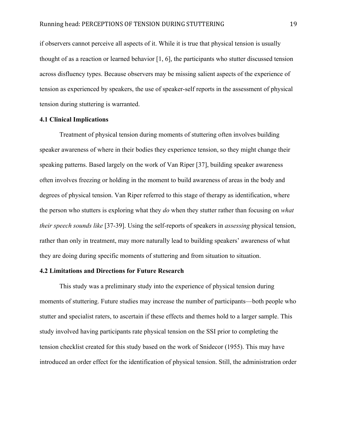if observers cannot perceive all aspects of it. While it is true that physical tension is usually thought of as a reaction or learned behavior [1, 6], the participants who stutter discussed tension across disfluency types. Because observers may be missing salient aspects of the experience of tension as experienced by speakers, the use of speaker-self reports in the assessment of physical tension during stuttering is warranted.

## **4.1 Clinical Implications**

Treatment of physical tension during moments of stuttering often involves building speaker awareness of where in their bodies they experience tension, so they might change their speaking patterns. Based largely on the work of Van Riper [37], building speaker awareness often involves freezing or holding in the moment to build awareness of areas in the body and degrees of physical tension. Van Riper referred to this stage of therapy as identification, where the person who stutters is exploring what they *do* when they stutter rather than focusing on *what their speech sounds like* [37-39]. Using the self-reports of speakers in *assessing* physical tension, rather than only in treatment, may more naturally lead to building speakers' awareness of what they are doing during specific moments of stuttering and from situation to situation.

# **4.2 Limitations and Directions for Future Research**

This study was a preliminary study into the experience of physical tension during moments of stuttering. Future studies may increase the number of participants—both people who stutter and specialist raters, to ascertain if these effects and themes hold to a larger sample. This study involved having participants rate physical tension on the SSI prior to completing the tension checklist created for this study based on the work of Snidecor (1955). This may have introduced an order effect for the identification of physical tension. Still, the administration order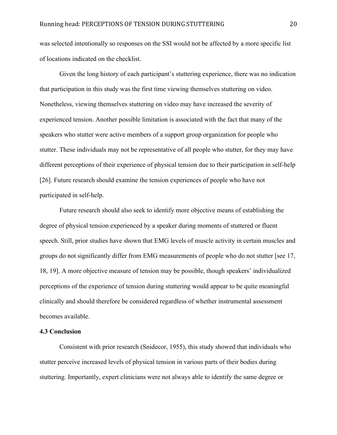was selected intentionally so responses on the SSI would not be affected by a more specific list of locations indicated on the checklist.

Given the long history of each participant's stuttering experience, there was no indication that participation in this study was the first time viewing themselves stuttering on video. Nonetheless, viewing themselves stuttering on video may have increased the severity of experienced tension. Another possible limitation is associated with the fact that many of the speakers who stutter were active members of a support group organization for people who stutter. These individuals may not be representative of all people who stutter, for they may have different perceptions of their experience of physical tension due to their participation in self-help [26]. Future research should examine the tension experiences of people who have not participated in self-help.

Future research should also seek to identify more objective means of establishing the degree of physical tension experienced by a speaker during moments of stuttered or fluent speech. Still, prior studies have shown that EMG levels of muscle activity in certain muscles and groups do not significantly differ from EMG measurements of people who do not stutter [see 17, 18, 19]. A more objective measure of tension may be possible, though speakers' individualized perceptions of the experience of tension during stuttering would appear to be quite meaningful clinically and should therefore be considered regardless of whether instrumental assessment becomes available.

## **4.3 Conclusion**

Consistent with prior research (Snidecor, 1955), this study showed that individuals who stutter perceive increased levels of physical tension in various parts of their bodies during stuttering. Importantly, expert clinicians were not always able to identify the same degree or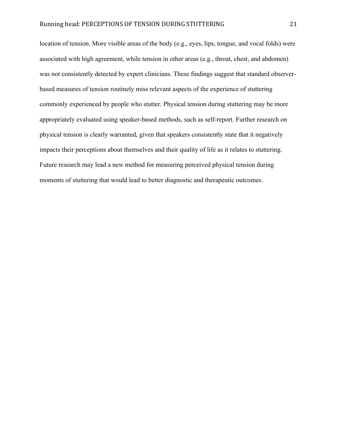location of tension. More visible areas of the body (e.g., eyes, lips, tongue, and vocal folds) were associated with high agreement, while tension in other areas (e.g., throat, chest, and abdomen) was not consistently detected by expert clinicians. These findings suggest that standard observerbased measures of tension routinely miss relevant aspects of the experience of stuttering commonly experienced by people who stutter. Physical tension during stuttering may be more appropriately evaluated using speaker-based methods, such as self-report. Further research on physical tension is clearly warranted, given that speakers consistently state that it negatively impacts their perceptions about themselves and their quality of life as it relates to stuttering. Future research may lead a new method for measuring perceived physical tension during moments of stuttering that would lead to better diagnostic and therapeutic outcomes.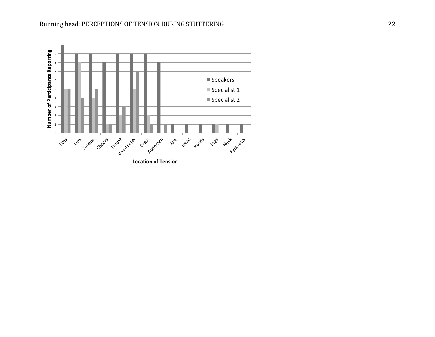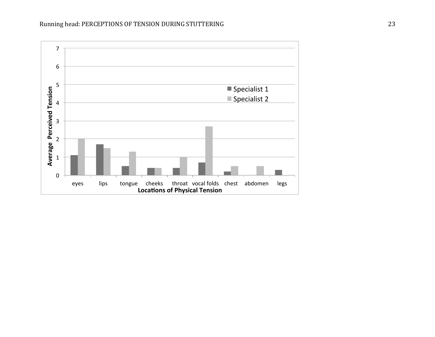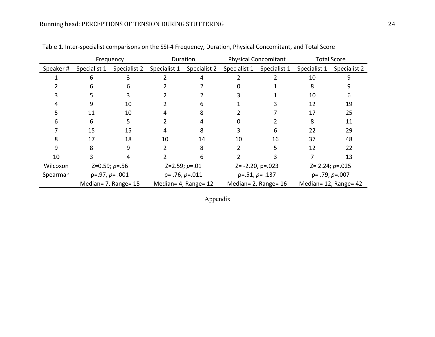|          |                      | Frequency    | Duration             |              |                          | <b>Physical Concomitant</b> | <b>Total Score</b>    |              |
|----------|----------------------|--------------|----------------------|--------------|--------------------------|-----------------------------|-----------------------|--------------|
| Speaker# | Specialist 1         | Specialist 2 | Specialist 1         | Specialist 2 | Specialist 1             | Specialist 1                | Specialist 1          | Specialist 2 |
|          |                      |              |                      |              |                          |                             | 10                    |              |
|          | n                    | b            |                      |              |                          |                             | 8                     |              |
|          |                      |              |                      |              |                          |                             | 10                    | 6            |
|          | 9                    | 10           |                      | 6            |                          |                             | 12                    | 19           |
|          | 11                   | 10           |                      |              |                          |                             | 17                    | 25           |
|          | 6                    |              |                      |              |                          |                             | 8                     | 11           |
|          | 15                   | 15           | 4                    | 8            |                          | 6                           | 22                    | 29           |
|          | 17                   | 18           | 10                   | 14           | 10                       | 16                          | 37                    | 48           |
| 9        | 8                    | 9            |                      | 8            |                          |                             | 12                    | 22           |
| 10       |                      | 4            |                      | 6            |                          |                             |                       | 13           |
| Wilcoxon | $Z=0.59; p=.56$      |              | $Z=2.59; p=.01$      |              | $Z = -2.20$ , $p = .023$ |                             | $Z = 2.24; p = 0.025$ |              |
| Spearman | $p=.97, p=.001$      |              | $p = .76, p = .011$  |              | $p=.51, p=.137$          |                             | $p = .79, p = .007$   |              |
|          | Median= 7, Range= 15 |              | Median= 4, Range= 12 |              |                          | Median= 2, Range= 16        | Median= 12, Range= 42 |              |

Table 1. Inter-specialist comparisons on the SSI-4 Frequency, Duration, Physical Concomitant, and Total Score

Appendix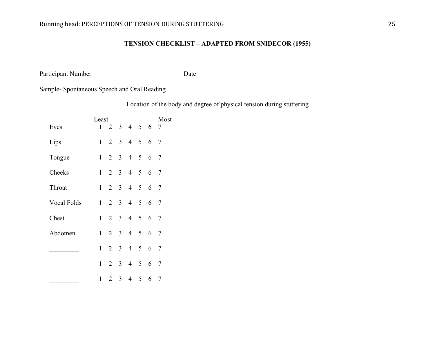# **TENSION CHECKLIST – ADAPTED FROM SNIDECOR (1955)**

Participant Number\_\_\_\_\_\_\_\_\_\_\_\_\_\_\_\_\_\_\_\_\_\_\_\_\_\_\_ Date \_\_\_\_\_\_\_\_\_\_\_\_\_\_\_\_\_\_\_

Sample- Spontaneous Speech and Oral Reading

Location of the body and degree of physical tension during stuttering

|             | Least        |                |              |                             |            | Most |                |
|-------------|--------------|----------------|--------------|-----------------------------|------------|------|----------------|
| Eyes        | 1            |                |              | $2 \t3 \t4 \t5 \t6$         |            |      | 7              |
| Lips        | $\mathbf{1}$ |                |              | $2 \t3 \t4 \t5 \t6$         |            |      | $\overline{7}$ |
| Tongue      | $\mathbf{1}$ |                |              | 2 3 4 5                     |            | 6    | 7              |
| Cheeks      | $\mathbf{1}$ |                |              | 2 3 4 5                     |            | 6    | $\overline{7}$ |
| Throat      | $\mathbf{1}$ |                |              | 2 3 4 5                     |            | 6    | $\overline{7}$ |
| Vocal Folds | 1            |                |              | $2 \quad 3 \quad 4 \quad 5$ |            | 6 7  |                |
| Chest       | 1            |                |              | 2 3 4 5 6                   |            |      | 7              |
| Abdomen     | $\mathbf{1}$ | 2 3            |              |                             | $4\quad 5$ | 6 7  |                |
|             | $\mathbf{1}$ |                | $2 \quad 3$  |                             | $4\quad 5$ | 6    | 7              |
|             | $\mathbf{1}$ | $\overline{2}$ |              | 3 4 5                       |            | 6    | $\overline{7}$ |
|             | 1            | $\overline{2}$ | $\mathbf{3}$ |                             | $4\quad 5$ | 6    | -7             |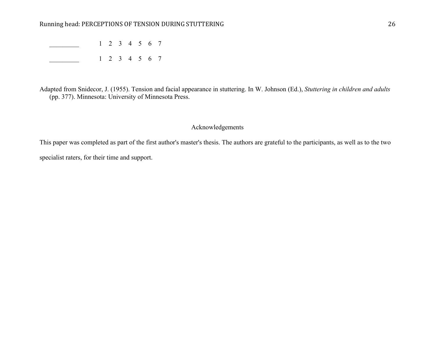\_\_\_\_\_\_\_\_\_ 1 2 3 4 5 6 7 \_\_\_\_\_\_\_\_\_ 1 2 3 4 5 6 7

Adapted from Snidecor, J. (1955). Tension and facial appearance in stuttering. In W. Johnson (Ed.), *Stuttering in children and adults* (pp. 377). Minnesota: University of Minnesota Press.

# Acknowledgements

This paper was completed as part of the first author's master's thesis. The authors are grateful to the participants, as well as to the two specialist raters, for their time and support.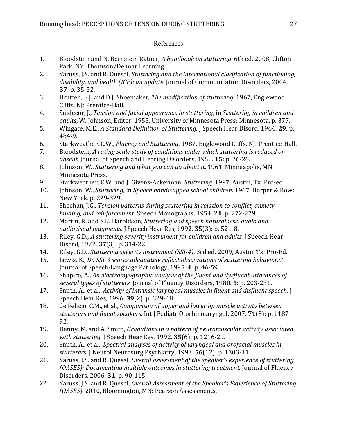# References

- 1. Bloodstein and N. Bernstein Ratner, *A handbook on stuttering*. 6th ed. 2008, Clifton Park, NY: Thomson/Delmar Learning.
- 2. Yaruss, J.S. and R. Quesal, *Stuttering and the international clasification of functioning*, disability, and health (ICF): an update. Journal of Communication Disorders, 2004. **37**: p. 35-52.
- 3. Brutten, E.J. and D.J. Shoemaker, *The modification of stuttering*. 1967, Englewood Cliffs, NJ: Prentice-Hall.
- 4. Snidecor, J., *Tension and facial appearance in stuttering*, in *Stuttering in children and* adults, W. Johnson, Editor. 1955, University of Minnesota Press: Minnesota. p. 377.
- 5. Wingate, M.E., *A Standard Definition of Stuttering.* J Speech Hear Disord, 1964. **29**: p. 484-9.
- 6. Starkweather, C.W., *Fluency and Stuttering*. 1987, Englewood Cliffs, NJ: Prentice-Hall.
- 7. Bloodstein, A rating scale study of conditions under which stuttering is reduced or absent. Journal of Speech and Hearing Disorders, 1950. **15**: p. 26-26.
- 8. Johnson, W., *Stuttering and what you can do about it*. 1961, Minneapolis, MN: Minnesota Press.
- 9. Starkweather, C.W. and J. Givens-Ackerman, *Stuttering*. 1997, Austin, Tx: Pro-ed.
- 10. Johnson, W., *Stuttering*, in *Speech handicapped school children*. 1967, Harper & Row: New York. p. 229-329.
- 11. Sheehan, J.G., *Tension patterns during stuttering in relation to conflict, anxiety*binding, and reinforcement. Speech Monographs, 1954. **21**: p. 272-279.
- 12. Martin, R. and S.K. Haroldson, *Stuttering and speech naturalness: audio and* audiovisual judgments. J Speech Hear Res, 1992. **35**(3): p. 521-8.
- 13. Riley, G.D., A stuttering severity instrument for children and adults. J Speech Hear Disord, 1972. **37**(3): p. 314-22.
- 14. Riley, G.D., *Stuttering severity instrument (SSI-4)*. 3rd ed. 2009, Austin, Tx: Pro-Ed.
- 15. Lewis, K., *Do SSI-3 scores adequately reflect observations of stuttering behaviors?* Journal of Speech-Language Pathology, 1995. 4: p. 46-59.
- 16. Shapiro, A., An electromyographic analysis of the fluent and dysfluent utterances of several types of stutterers. Journal of Fluency Disorders, 1980. **5**: p. 203-231.
- 17. Smith, A., et al., *Activity of intrinsic laryngeal muscles in fluent and disfluent speech.* J Speech Hear Res, 1996. **39**(2): p. 329-48.
- 18. de Felicio, C.M., et al., *Comparison of upper and lower lip muscle activity between* stutterers and fluent speakers. Int J Pediatr Otorhinolaryngol, 2007. **71**(8): p. 1187-92.
- 19. Denny, M. and A. Smith, *Gradations in a pattern of neuromuscular activity associated with stuttering.* J Speech Hear Res, 1992. **35**(6): p. 1216-29.
- 20. Smith, A., et al., *Spectral analyses of activity of laryngeal and orofacial muscles in* stutterers. J Neurol Neurosurg Psychiatry, 1993. **56**(12): p. 1303-11.
- 21. Yaruss, J.S. and R. Quesal, *Overall assessment of the speaker's experience of stuttering (OASES): Documenting multiple outcomes in stuttering treatment.* Journal of Fluency Disorders, 2006. **31**: p. 90-115.
- 22. Yaruss, J.S. and R. Quesal, *Overall Assessment of the Speaker's Experience of Stuttering (OASES).* 2010, Bloomington, MN: Pearson Assessments.